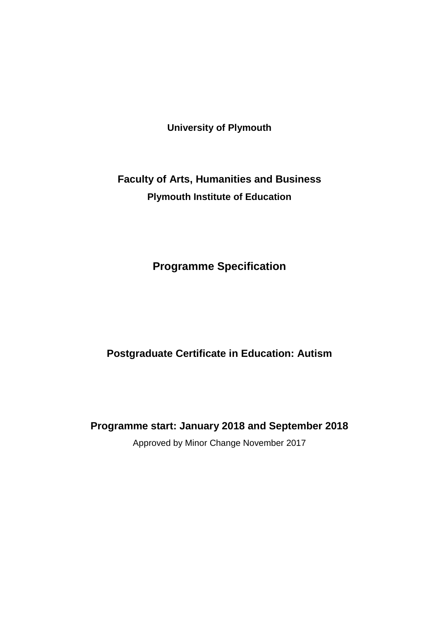**University of Plymouth**

# **Faculty of Arts, Humanities and Business Plymouth Institute of Education**

# **Programme Specification**

## **Postgraduate Certificate in Education: Autism**

**Programme start: January 2018 and September 2018**

Approved by Minor Change November 2017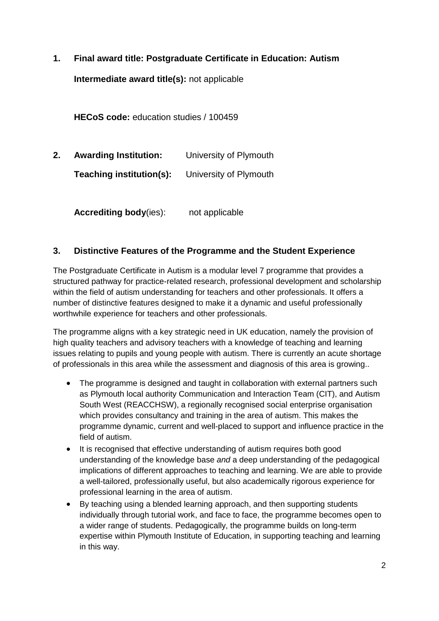**1. Final award title: Postgraduate Certificate in Education: Autism**

**Intermediate award title(s):** not applicable

**HECoS code:** education studies / 100459

**2. Awarding Institution:** University of Plymouth **Teaching institution(s):** University of Plymouth

**Accrediting body**(ies): not applicable

### **3. Distinctive Features of the Programme and the Student Experience**

The Postgraduate Certificate in Autism is a modular level 7 programme that provides a structured pathway for practice-related research, professional development and scholarship within the field of autism understanding for teachers and other professionals. It offers a number of distinctive features designed to make it a dynamic and useful professionally worthwhile experience for teachers and other professionals.

The programme aligns with a key strategic need in UK education, namely the provision of high quality teachers and advisory teachers with a knowledge of teaching and learning issues relating to pupils and young people with autism. There is currently an acute shortage of professionals in this area while the assessment and diagnosis of this area is growing..

- The programme is designed and taught in collaboration with external partners such as Plymouth local authority Communication and Interaction Team (CIT), and Autism South West (REACCHSW), a regionally recognised social enterprise organisation which provides consultancy and training in the area of autism. This makes the programme dynamic, current and well-placed to support and influence practice in the field of autism.
- It is recognised that effective understanding of autism requires both good understanding of the knowledge base *and* a deep understanding of the pedagogical implications of different approaches to teaching and learning. We are able to provide a well-tailored, professionally useful, but also academically rigorous experience for professional learning in the area of autism.
- By teaching using a blended learning approach, and then supporting students individually through tutorial work, and face to face, the programme becomes open to a wider range of students. Pedagogically, the programme builds on long-term expertise within Plymouth Institute of Education, in supporting teaching and learning in this way.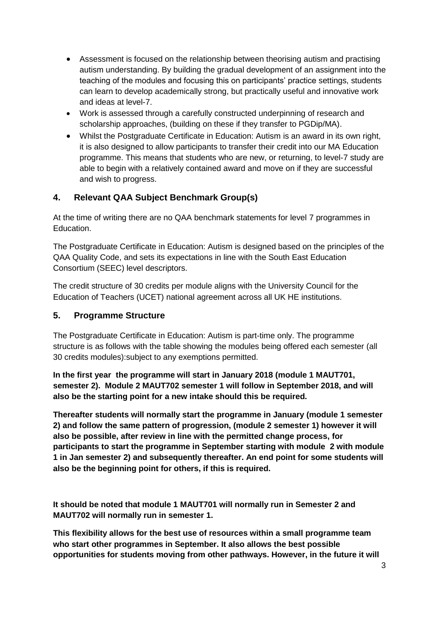- Assessment is focused on the relationship between theorising autism and practising autism understanding. By building the gradual development of an assignment into the teaching of the modules and focusing this on participants' practice settings, students can learn to develop academically strong, but practically useful and innovative work and ideas at level-7.
- Work is assessed through a carefully constructed underpinning of research and scholarship approaches, (building on these if they transfer to PGDip/MA).
- Whilst the Postgraduate Certificate in Education: Autism is an award in its own right, it is also designed to allow participants to transfer their credit into our MA Education programme. This means that students who are new, or returning, to level-7 study are able to begin with a relatively contained award and move on if they are successful and wish to progress.

### **4. Relevant QAA Subject Benchmark Group(s)**

At the time of writing there are no QAA benchmark statements for level 7 programmes in Education.

The Postgraduate Certificate in Education: Autism is designed based on the principles of the QAA Quality Code, and sets its expectations in line with the South East Education Consortium (SEEC) level descriptors.

The credit structure of 30 credits per module aligns with the University Council for the Education of Teachers (UCET) national agreement across all UK HE institutions.

### **5. Programme Structure**

The Postgraduate Certificate in Education: Autism is part-time only. The programme structure is as follows with the table showing the modules being offered each semester (all 30 credits modules):subject to any exemptions permitted.

**In the first year the programme will start in January 2018 (module 1 MAUT701, semester 2). Module 2 MAUT702 semester 1 will follow in September 2018, and will also be the starting point for a new intake should this be required.**

**Thereafter students will normally start the programme in January (module 1 semester 2) and follow the same pattern of progression, (module 2 semester 1) however it will also be possible, after review in line with the permitted change process, for participants to start the programme in September starting with module 2 with module 1 in Jan semester 2) and subsequently thereafter. An end point for some students will also be the beginning point for others, if this is required.**

**It should be noted that module 1 MAUT701 will normally run in Semester 2 and MAUT702 will normally run in semester 1.**

**This flexibility allows for the best use of resources within a small programme team who start other programmes in September. It also allows the best possible opportunities for students moving from other pathways. However, in the future it will**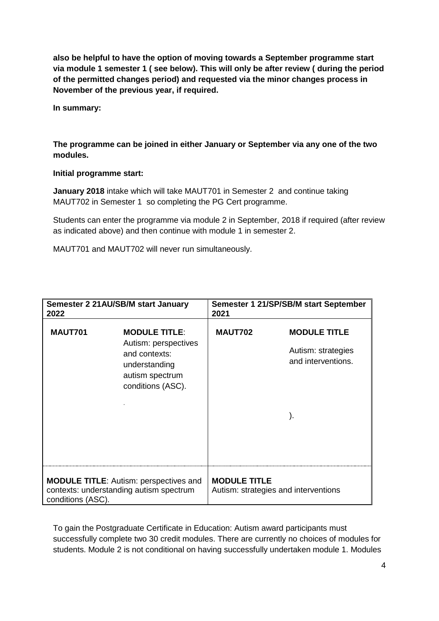**also be helpful to have the option of moving towards a September programme start via module 1 semester 1 ( see below). This will only be after review ( during the period of the permitted changes period) and requested via the minor changes process in November of the previous year, if required.**

**In summary:**

### **The programme can be joined in either January or September via any one of the two modules.**

#### **Initial programme start:**

**January 2018** intake which will take MAUT701 in Semester 2 and continue taking MAUT702 in Semester 1 so completing the PG Cert programme.

Students can enter the programme via module 2 in September, 2018 if required (after review as indicated above) and then continue with module 1 in semester 2.

MAUT701 and MAUT702 will never run simultaneously.

| Semester 2 21 AU/SB/M start January<br>2022                                                                                              | Semester 1 21/SP/SB/M start September<br>2021                                           |  |
|------------------------------------------------------------------------------------------------------------------------------------------|-----------------------------------------------------------------------------------------|--|
| <b>MAUT701</b><br><b>MODULE TITLE:</b><br>Autism: perspectives<br>and contexts:<br>understanding<br>autism spectrum<br>conditions (ASC). | <b>MAUT702</b><br><b>MODULE TITLE</b><br>Autism: strategies<br>and interventions.<br>). |  |
| <b>MODULE TITLE:</b> Autism: perspectives and<br>contexts: understanding autism spectrum<br>conditions (ASC).                            | <b>MODULE TITLE</b><br>Autism: strategies and interventions                             |  |

To gain the Postgraduate Certificate in Education: Autism award participants must successfully complete two 30 credit modules. There are currently no choices of modules for students. Module 2 is not conditional on having successfully undertaken module 1. Modules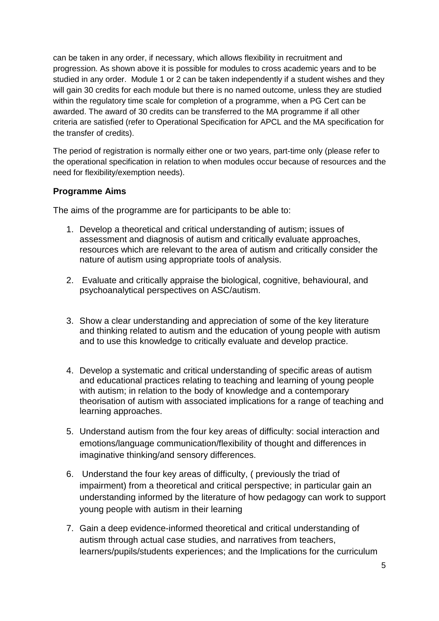can be taken in any order, if necessary, which allows flexibility in recruitment and progression. As shown above it is possible for modules to cross academic years and to be studied in any order. Module 1 or 2 can be taken independently if a student wishes and they will gain 30 credits for each module but there is no named outcome, unless they are studied within the regulatory time scale for completion of a programme, when a PG Cert can be awarded. The award of 30 credits can be transferred to the MA programme if all other criteria are satisfied (refer to Operational Specification for APCL and the MA specification for the transfer of credits).

The period of registration is normally either one or two years, part-time only (please refer to the operational specification in relation to when modules occur because of resources and the need for flexibility/exemption needs).

### **Programme Aims**

The aims of the programme are for participants to be able to:

- 1. Develop a theoretical and critical understanding of autism; issues of assessment and diagnosis of autism and critically evaluate approaches, resources which are relevant to the area of autism and critically consider the nature of autism using appropriate tools of analysis.
- 2. Evaluate and critically appraise the biological, cognitive, behavioural, and psychoanalytical perspectives on ASC/autism.
- 3. Show a clear understanding and appreciation of some of the key literature and thinking related to autism and the education of young people with autism and to use this knowledge to critically evaluate and develop practice.
- 4. Develop a systematic and critical understanding of specific areas of autism and educational practices relating to teaching and learning of young people with autism; in relation to the body of knowledge and a contemporary theorisation of autism with associated implications for a range of teaching and learning approaches.
- 5. Understand autism from the four key areas of difficulty: social interaction and emotions/language communication/flexibility of thought and differences in imaginative thinking/and sensory differences.
- 6. Understand the four key areas of difficulty, ( previously the triad of impairment) from a theoretical and critical perspective; in particular gain an understanding informed by the literature of how pedagogy can work to support young people with autism in their learning
- 7. Gain a deep evidence-informed theoretical and critical understanding of autism through actual case studies, and narratives from teachers, learners/pupils/students experiences; and the Implications for the curriculum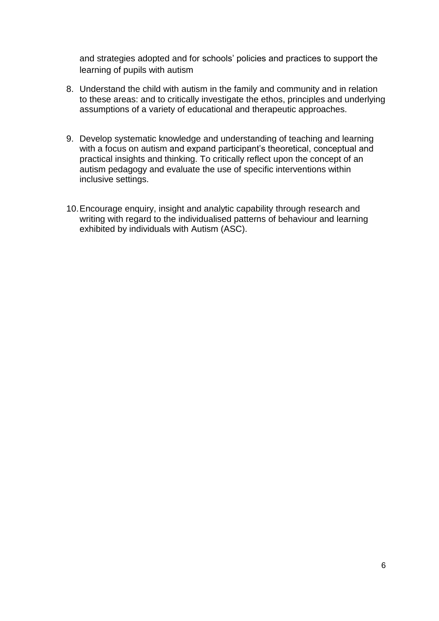and strategies adopted and for schools' policies and practices to support the learning of pupils with autism

- 8. Understand the child with autism in the family and community and in relation to these areas: and to critically investigate the ethos, principles and underlying assumptions of a variety of educational and therapeutic approaches.
- 9. Develop systematic knowledge and understanding of teaching and learning with a focus on autism and expand participant's theoretical, conceptual and practical insights and thinking. To critically reflect upon the concept of an autism pedagogy and evaluate the use of specific interventions within inclusive settings.
- 10.Encourage enquiry, insight and analytic capability through research and writing with regard to the individualised patterns of behaviour and learning exhibited by individuals with Autism (ASC).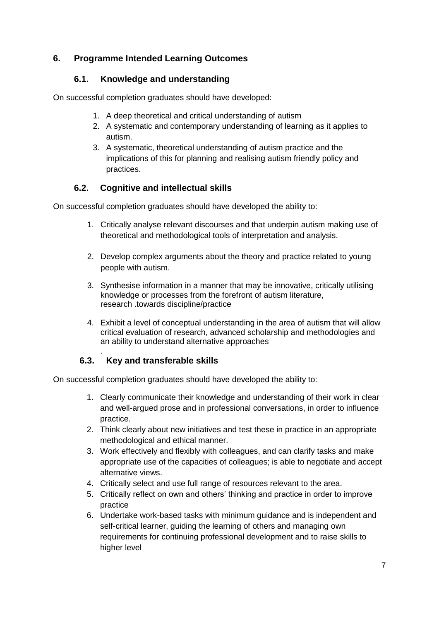### **6. Programme Intended Learning Outcomes**

### **6.1. Knowledge and understanding**

On successful completion graduates should have developed:

- 1. A deep theoretical and critical understanding of autism
- 2. A systematic and contemporary understanding of learning as it applies to autism.
- 3. A systematic, theoretical understanding of autism practice and the implications of this for planning and realising autism friendly policy and practices.

### **6.2. Cognitive and intellectual skills**

On successful completion graduates should have developed the ability to:

- 1. Critically analyse relevant discourses and that underpin autism making use of theoretical and methodological tools of interpretation and analysis.
- 2. Develop complex arguments about the theory and practice related to young people with autism.
- 3. Synthesise information in a manner that may be innovative, critically utilising knowledge or processes from the forefront of autism literature, research .towards discipline/practice
- 4. Exhibit a level of conceptual understanding in the area of autism that will allow critical evaluation of research, advanced scholarship and methodologies and an ability to understand alternative approaches

#### . **6.3. Key and transferable skills**

On successful completion graduates should have developed the ability to:

- 1. Clearly communicate their knowledge and understanding of their work in clear and well-argued prose and in professional conversations, in order to influence practice.
- 2. Think clearly about new initiatives and test these in practice in an appropriate methodological and ethical manner.
- 3. Work effectively and flexibly with colleagues, and can clarify tasks and make appropriate use of the capacities of colleagues; is able to negotiate and accept alternative views.
- 4. Critically select and use full range of resources relevant to the area.
- 5. Critically reflect on own and others' thinking and practice in order to improve practice
- 6. Undertake work-based tasks with minimum guidance and is independent and self-critical learner, guiding the learning of others and managing own requirements for continuing professional development and to raise skills to higher level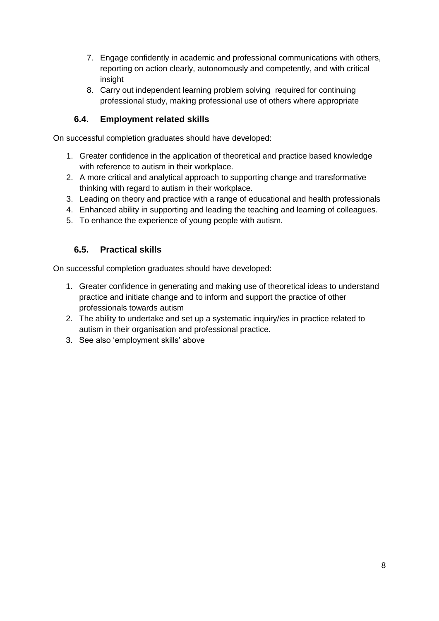- 7. Engage confidently in academic and professional communications with others, reporting on action clearly, autonomously and competently, and with critical insight
- 8. Carry out independent learning problem solving required for continuing professional study, making professional use of others where appropriate

### **6.4. Employment related skills**

On successful completion graduates should have developed:

- 1. Greater confidence in the application of theoretical and practice based knowledge with reference to autism in their workplace.
- 2. A more critical and analytical approach to supporting change and transformative thinking with regard to autism in their workplace.
- 3. Leading on theory and practice with a range of educational and health professionals
- 4. Enhanced ability in supporting and leading the teaching and learning of colleagues.
- 5. To enhance the experience of young people with autism.

### **6.5. Practical skills**

On successful completion graduates should have developed:

- 1. Greater confidence in generating and making use of theoretical ideas to understand practice and initiate change and to inform and support the practice of other professionals towards autism
- 2. The ability to undertake and set up a systematic inquiry/ies in practice related to autism in their organisation and professional practice.
- 3. See also 'employment skills' above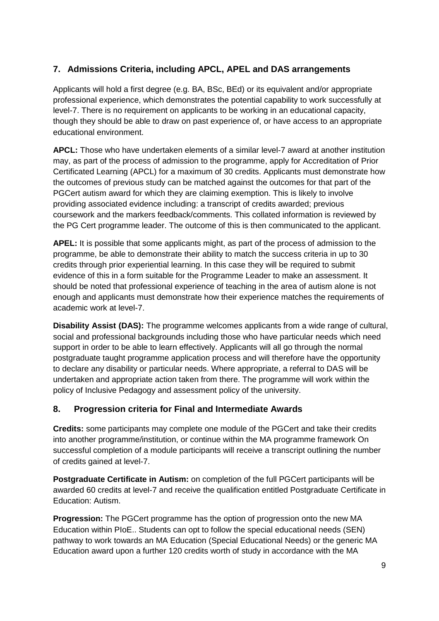## **7. Admissions Criteria, including APCL, APEL and DAS arrangements**

Applicants will hold a first degree (e.g. BA, BSc, BEd) or its equivalent and/or appropriate professional experience, which demonstrates the potential capability to work successfully at level-7. There is no requirement on applicants to be working in an educational capacity, though they should be able to draw on past experience of, or have access to an appropriate educational environment.

**APCL:** Those who have undertaken elements of a similar level-7 award at another institution may, as part of the process of admission to the programme, apply for Accreditation of Prior Certificated Learning (APCL) for a maximum of 30 credits. Applicants must demonstrate how the outcomes of previous study can be matched against the outcomes for that part of the PGCert autism award for which they are claiming exemption. This is likely to involve providing associated evidence including: a transcript of credits awarded; previous coursework and the markers feedback/comments. This collated information is reviewed by the PG Cert programme leader. The outcome of this is then communicated to the applicant.

**APEL:** It is possible that some applicants might, as part of the process of admission to the programme, be able to demonstrate their ability to match the success criteria in up to 30 credits through prior experiential learning. In this case they will be required to submit evidence of this in a form suitable for the Programme Leader to make an assessment. It should be noted that professional experience of teaching in the area of autism alone is not enough and applicants must demonstrate how their experience matches the requirements of academic work at level-7.

**Disability Assist (DAS):** The programme welcomes applicants from a wide range of cultural, social and professional backgrounds including those who have particular needs which need support in order to be able to learn effectively. Applicants will all go through the normal postgraduate taught programme application process and will therefore have the opportunity to declare any disability or particular needs. Where appropriate, a referral to DAS will be undertaken and appropriate action taken from there. The programme will work within the policy of Inclusive Pedagogy and assessment policy of the university.

### **8. Progression criteria for Final and Intermediate Awards**

**Credits:** some participants may complete one module of the PGCert and take their credits into another programme/institution, or continue within the MA programme framework On successful completion of a module participants will receive a transcript outlining the number of credits gained at level-7.

**Postgraduate Certificate in Autism:** on completion of the full PGCert participants will be awarded 60 credits at level-7 and receive the qualification entitled Postgraduate Certificate in Education: Autism.

**Progression:** The PGCert programme has the option of progression onto the new MA Education within PIoE.. Students can opt to follow the special educational needs (SEN) pathway to work towards an MA Education (Special Educational Needs) or the generic MA Education award upon a further 120 credits worth of study in accordance with the MA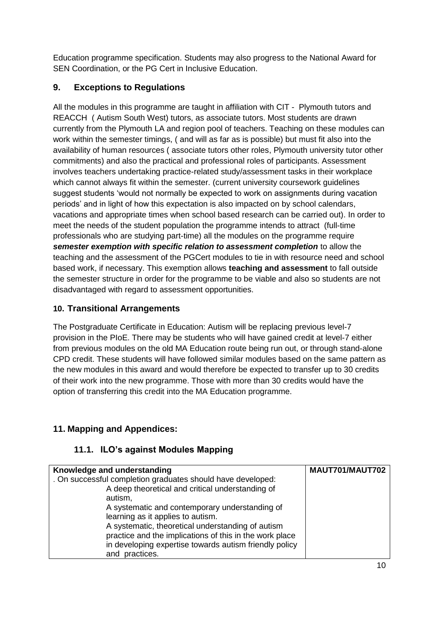Education programme specification. Students may also progress to the National Award for SEN Coordination, or the PG Cert in Inclusive Education.

### **9. Exceptions to Regulations**

All the modules in this programme are taught in affiliation with CIT - Plymouth tutors and REACCH ( Autism South West) tutors, as associate tutors. Most students are drawn currently from the Plymouth LA and region pool of teachers. Teaching on these modules can work within the semester timings, ( and will as far as is possible) but must fit also into the availability of human resources ( associate tutors other roles, Plymouth university tutor other commitments) and also the practical and professional roles of participants. Assessment involves teachers undertaking practice-related study/assessment tasks in their workplace which cannot always fit within the semester. (current university coursework guidelines suggest students 'would not normally be expected to work on assignments during vacation periods' and in light of how this expectation is also impacted on by school calendars, vacations and appropriate times when school based research can be carried out). In order to meet the needs of the student population the programme intends to attract (full-time professionals who are studying part-time) all the modules on the programme require *semester exemption with specific relation to assessment completion* to allow the teaching and the assessment of the PGCert modules to tie in with resource need and school based work, if necessary. This exemption allows **teaching and assessment** to fall outside the semester structure in order for the programme to be viable and also so students are not disadvantaged with regard to assessment opportunities.

### **10. Transitional Arrangements**

The Postgraduate Certificate in Education: Autism will be replacing previous level-7 provision in the PIoE. There may be students who will have gained credit at level-7 either from previous modules on the old MA Education route being run out, or through stand-alone CPD credit. These students will have followed similar modules based on the same pattern as the new modules in this award and would therefore be expected to transfer up to 30 credits of their work into the new programme. Those with more than 30 credits would have the option of transferring this credit into the MA Education programme.

## **11. Mapping and Appendices:**

### **11.1. ILO's against Modules Mapping**

| Knowledge and understanding                                 | MAUT701/MAUT702 |
|-------------------------------------------------------------|-----------------|
| . On successful completion graduates should have developed: |                 |
| A deep theoretical and critical understanding of            |                 |
| autism,                                                     |                 |
| A systematic and contemporary understanding of              |                 |
| learning as it applies to autism.                           |                 |
| A systematic, theoretical understanding of autism           |                 |
| practice and the implications of this in the work place     |                 |
| in developing expertise towards autism friendly policy      |                 |
| and practices.                                              |                 |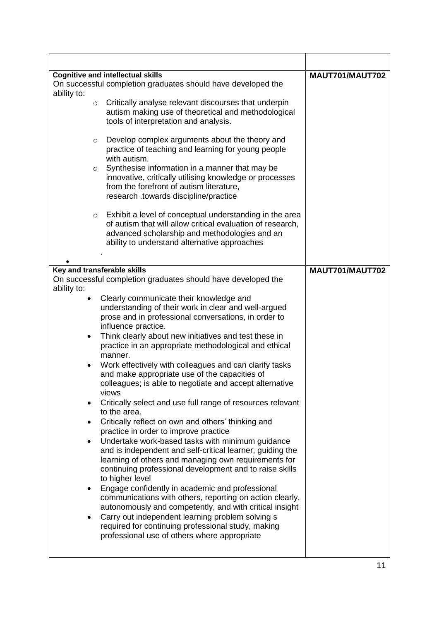|             | <b>Cognitive and intellectual skills</b>                         | MAUT701/MAUT702 |
|-------------|------------------------------------------------------------------|-----------------|
|             | On successful completion graduates should have developed the     |                 |
| ability to: |                                                                  |                 |
| $\circ$     | Critically analyse relevant discourses that underpin             |                 |
|             | autism making use of theoretical and methodological              |                 |
|             | tools of interpretation and analysis.                            |                 |
|             | Develop complex arguments about the theory and                   |                 |
| $\circ$     | practice of teaching and learning for young people               |                 |
|             | with autism.                                                     |                 |
| $\circ$     | Synthesise information in a manner that may be                   |                 |
|             | innovative, critically utilising knowledge or processes          |                 |
|             | from the forefront of autism literature,                         |                 |
|             | research .towards discipline/practice                            |                 |
|             |                                                                  |                 |
| $\circ$     | Exhibit a level of conceptual understanding in the area          |                 |
|             | of autism that will allow critical evaluation of research,       |                 |
|             | advanced scholarship and methodologies and an                    |                 |
|             | ability to understand alternative approaches                     |                 |
|             |                                                                  |                 |
|             | Key and transferable skills                                      | MAUT701/MAUT702 |
|             | On successful completion graduates should have developed the     |                 |
| ability to: |                                                                  |                 |
|             | Clearly communicate their knowledge and                          |                 |
|             | understanding of their work in clear and well-argued             |                 |
|             | prose and in professional conversations, in order to             |                 |
|             | influence practice.                                              |                 |
| ٠           | Think clearly about new initiatives and test these in            |                 |
|             | practice in an appropriate methodological and ethical            |                 |
|             | manner.                                                          |                 |
| $\bullet$   | Work effectively with colleagues and can clarify tasks           |                 |
|             | and make appropriate use of the capacities of                    |                 |
|             | colleagues; is able to negotiate and accept alternative<br>views |                 |
|             | Critically select and use full range of resources relevant       |                 |
|             | to the area.                                                     |                 |
|             | Critically reflect on own and others' thinking and               |                 |
|             | practice in order to improve practice                            |                 |
|             | Undertake work-based tasks with minimum guidance                 |                 |
|             | and is independent and self-critical learner, guiding the        |                 |
|             | learning of others and managing own requirements for             |                 |
|             | continuing professional development and to raise skills          |                 |
|             | to higher level                                                  |                 |
|             | Engage confidently in academic and professional                  |                 |
|             | communications with others, reporting on action clearly,         |                 |
|             | autonomously and competently, and with critical insight          |                 |
|             | Carry out independent learning problem solving s                 |                 |
|             | required for continuing professional study, making               |                 |
|             | professional use of others where appropriate                     |                 |
|             |                                                                  |                 |

 $\overline{\phantom{a}}$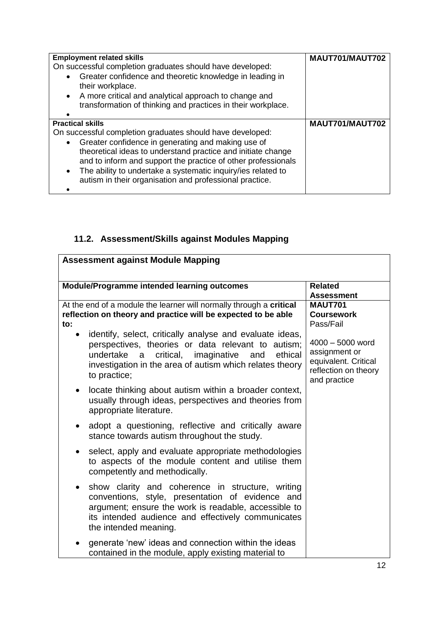| <b>Employment related skills</b><br>On successful completion graduates should have developed:<br>Greater confidence and theoretic knowledge in leading in<br>their workplace.<br>A more critical and analytical approach to change and<br>transformation of thinking and practices in their workplace.                                                                                                              | MAUT701/MAUT702 |
|---------------------------------------------------------------------------------------------------------------------------------------------------------------------------------------------------------------------------------------------------------------------------------------------------------------------------------------------------------------------------------------------------------------------|-----------------|
| <b>Practical skills</b><br>On successful completion graduates should have developed:<br>Greater confidence in generating and making use of<br>theoretical ideas to understand practice and initiate change<br>and to inform and support the practice of other professionals<br>The ability to undertake a systematic inquiry/ies related to<br>$\bullet$<br>autism in their organisation and professional practice. | MAUT701/MAUT702 |

## **11.2. Assessment/Skills against Modules Mapping**

| <b>Assessment against Module Mapping</b>                                                                                                                                                                                                                             |                                                                                                   |  |
|----------------------------------------------------------------------------------------------------------------------------------------------------------------------------------------------------------------------------------------------------------------------|---------------------------------------------------------------------------------------------------|--|
| Module/Programme intended learning outcomes                                                                                                                                                                                                                          | <b>Related</b><br><b>Assessment</b>                                                               |  |
| At the end of a module the learner will normally through a critical<br>reflection on theory and practice will be expected to be able<br>to:                                                                                                                          | <b>MAUT701</b><br><b>Coursework</b><br>Pass/Fail                                                  |  |
| identify, select, critically analyse and evaluate ideas,<br>$\bullet$<br>perspectives, theories or data relevant to autism;<br>undertake<br>ethical<br>critical, imaginative<br>and<br>a<br>investigation in the area of autism which relates theory<br>to practice; | 4000 - 5000 word<br>assignment or<br>equivalent. Critical<br>reflection on theory<br>and practice |  |
| locate thinking about autism within a broader context,<br>$\bullet$<br>usually through ideas, perspectives and theories from<br>appropriate literature.                                                                                                              |                                                                                                   |  |
| adopt a questioning, reflective and critically aware<br>$\bullet$<br>stance towards autism throughout the study.                                                                                                                                                     |                                                                                                   |  |
| select, apply and evaluate appropriate methodologies<br>$\bullet$<br>to aspects of the module content and utilise them<br>competently and methodically.                                                                                                              |                                                                                                   |  |
| show clarity and coherence in structure, writing<br>$\bullet$<br>conventions, style, presentation of evidence and<br>argument; ensure the work is readable, accessible to<br>its intended audience and effectively communicates<br>the intended meaning.             |                                                                                                   |  |
| generate 'new' ideas and connection within the ideas<br>contained in the module, apply existing material to                                                                                                                                                          |                                                                                                   |  |